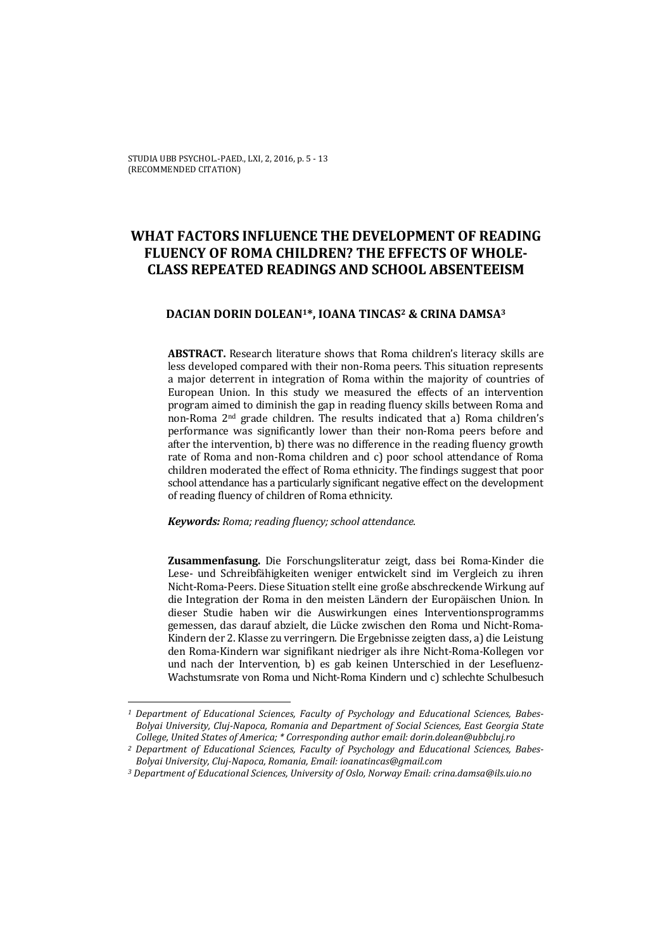# **WHAT FACTORS INFLUENCE THE DEVELOPMENT OF READING FLUENCY OF ROMA CHILDREN? THE EFFECTS OF WHOLE‐ CLASS REPEATED READINGS AND SCHOOL ABSENTEEISM**

## **DACIAN DORIN DOLEAN1\*, IOANA TINCAS2 & CRINA DAMSA3**

**ABSTRACT.** Research literature shows that Roma children's literacy skills are less developed compared with their non-Roma peers. This situation represents a major deterrent in integration of Roma within the majority of countries of European Union. In this study we measured the effects of an intervention program aimed to diminish the gap in reading fluency skills between Roma and non-Roma 2<sup>nd</sup> grade children. The results indicated that a) Roma children's performance was significantly lower than their non-Roma peers before and after the intervention, b) there was no difference in the reading fluency growth rate of Roma and non-Roma children and c) poor school attendance of Roma children moderated the effect of Roma ethnicity. The findings suggest that poor school attendance has a particularly significant negative effect on the development of reading fluency of children of Roma ethnicity.

*Keywords: Roma; reading fluency; school attendance.* 

<u> 1989 - Johann Stein, fransk politiker (d. 1989)</u>

Zusammenfasung. Die Forschungsliteratur zeigt, dass bei Roma-Kinder die Lese- und Schreibfähigkeiten weniger entwickelt sind im Vergleich zu ihren Nicht-Roma-Peers. Diese Situation stellt eine große abschreckende Wirkung auf die Integration der Roma in den meisten Ländern der Europäischen Union. In dieser Studie haben wir die Auswirkungen eines Interventionsprogramms gemessen, das darauf abzielt, die Lücke zwischen den Roma und Nicht-Roma-Kindern der 2. Klasse zu verringern. Die Ergebnisse zeigten dass, a) die Leistung den Roma-Kindern war signifikant niedriger als ihre Nicht-Roma-Kollegen vor und nach der Intervention, b) es gab keinen Unterschied in der Lesefluenz-Wachstumsrate von Roma und Nicht-Roma Kindern und c) schlechte Schulbesuch

*<sup>1</sup> Department of Educational Sciences, Faculty of Psychology and Educational Sciences, Babes‐ Bolyai University, Cluj‐Napoca, Romania and Department of Social Sciences, East Georgia State College, United States of America; \* Corresponding author email: dorin.dolean@ubbcluj.ro* 

*<sup>2</sup> Department of Educational Sciences, Faculty of Psychology and Educational Sciences, Babes‐ Bolyai University, Cluj‐Napoca, Romania, Email: ioanatincas@gmail.com* 

*<sup>3</sup> Department of Educational Sciences, University of Oslo, Norway Email: crina.damsa@ils.uio.no*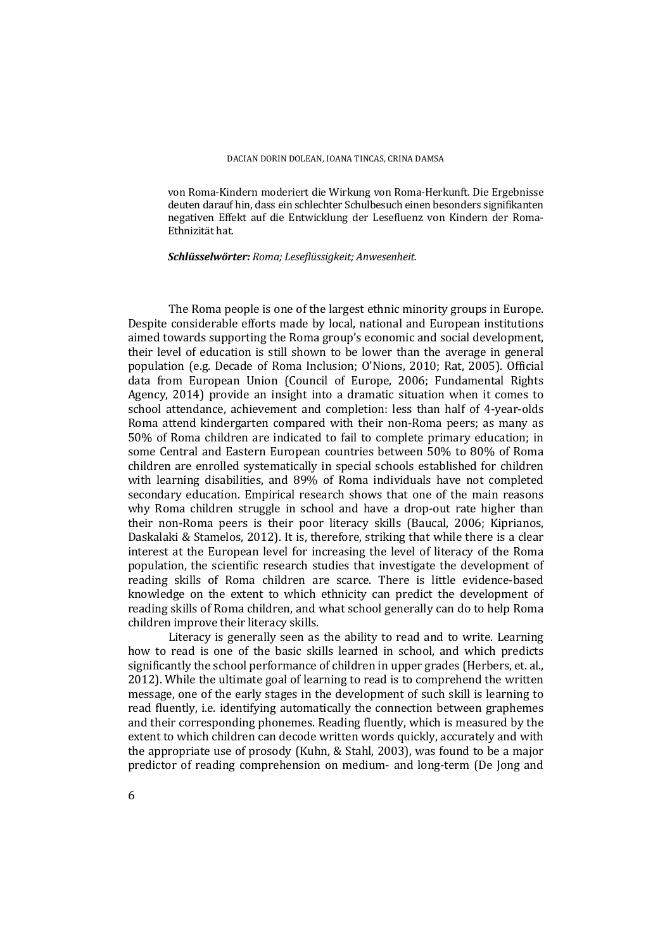von Roma-Kindern moderiert die Wirkung von Roma-Herkunft. Die Ergebnisse deuten darauf hin, dass ein schlechter Schulbesuch einen besonders signifikanten negativen Effekt auf die Entwicklung der Lesefluenz von Kindern der Roma-Ethnizität hat.

*Schlüsselwörter: Roma; Leseflüssigkeit; Anwesenheit.*

The Roma people is one of the largest ethnic minority groups in Europe. Despite considerable efforts made by local, national and European institutions aimed towards supporting the Roma group's economic and social development, their level of education is still shown to be lower than the average in general population (e.g. Decade of Roma Inclusion; O'Nions, 2010; Rat, 2005). Official data from European Union (Council of Europe, 2006; Fundamental Rights Agency,  $2014$ ) provide an insight into a dramatic situation when it comes to school attendance, achievement and completion: less than half of 4-year-olds Roma attend kindergarten compared with their non-Roma peers; as many as 50% of Roma children are indicated to fail to complete primary education; in some Central and Eastern European countries between 50% to 80% of Roma children are enrolled systematically in special schools established for children with learning disabilities, and 89% of Roma individuals have not completed secondary education. Empirical research shows that one of the main reasons why Roma children struggle in school and have a drop-out rate higher than their non-Roma peers is their poor literacy skills (Baucal, 2006; Kiprianos, Daskalaki & Stamelos, 2012). It is, therefore, striking that while there is a clear interest at the European level for increasing the level of literacy of the Roma population, the scientific research studies that investigate the development of reading skills of Roma children are scarce. There is little evidence-based knowledge on the extent to which ethnicity can predict the development of reading skills of Roma children, and what school generally can do to help Roma children improve their literacy skills.

Literacy is generally seen as the ability to read and to write. Learning how to read is one of the basic skills learned in school, and which predicts significantly the school performance of children in upper grades (Herbers, et. al., 2012). While the ultimate goal of learning to read is to comprehend the written message, one of the early stages in the development of such skill is learning to read fluently, i.e. identifying automatically the connection between graphemes and their corresponding phonemes. Reading fluently, which is measured by the extent to which children can decode written words quickly, accurately and with the appropriate use of prosody (Kuhn, & Stahl, 2003), was found to be a major predictor of reading comprehension on medium- and long-term (De Jong and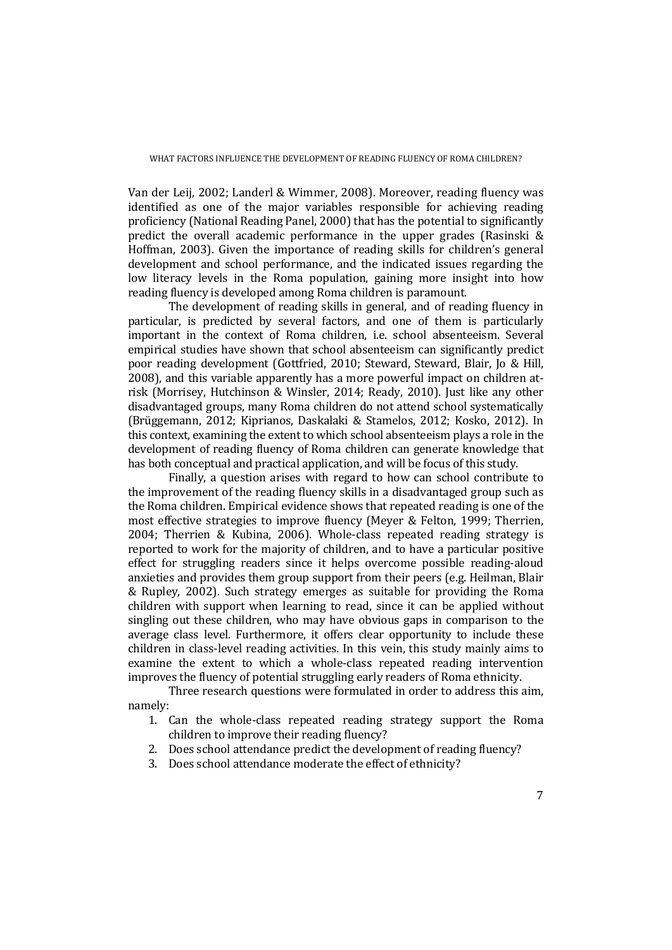Van der Leij, 2002; Landerl & Wimmer, 2008). Moreover, reading fluency was identified as one of the major variables responsible for achieving reading proficiency (National Reading Panel, 2000) that has the potential to significantly predict the overall academic performance in the upper grades (Rasinski  $\&$ Hoffman, 2003). Given the importance of reading skills for children's general development and school performance, and the indicated issues regarding the low literacy levels in the Roma population, gaining more insight into how reading fluency is developed among Roma children is paramount.

The development of reading skills in general, and of reading fluency in particular, is predicted by several factors, and one of them is particularly important in the context of Roma children, i.e. school absenteeism. Several empirical studies have shown that school absenteeism can significantly predict poor reading development (Gottfried, 2010; Steward, Steward, Blair, Jo & Hill, 2008), and this variable apparently has a more powerful impact on children atrisk (Morrisey, Hutchinson & Winsler, 2014; Ready, 2010). Just like any other disadvantaged groups, many Roma children do not attend school systematically (Brüggemann, 2012; Kiprianos, Daskalaki & Stamelos, 2012; Kosko, 2012). In this context, examining the extent to which school absenteeism plays a role in the development of reading fluency of Roma children can generate knowledge that has both conceptual and practical application, and will be focus of this study.

Finally, a question arises with regard to how can school contribute to the improvement of the reading fluency skills in a disadvantaged group such as the Roma children. Empirical evidence shows that repeated reading is one of the most effective strategies to improve fluency (Meyer & Felton, 1999; Therrien, 2004; Therrien & Kubina, 2006). Whole-class repeated reading strategy is reported to work for the majority of children, and to have a particular positive effect for struggling readers since it helps overcome possible reading-aloud anxieties and provides them group support from their peers (e.g. Heilman, Blair & Rupley, 2002). Such strategy emerges as suitable for providing the Roma children with support when learning to read, since it can be applied without singling out these children, who may have obvious gaps in comparison to the average class level. Furthermore, it offers clear opportunity to include these children in class-level reading activities. In this vein, this study mainly aims to examine the extent to which a whole-class repeated reading intervention improves the fluency of potential struggling early readers of Roma ethnicity.

Three research questions were formulated in order to address this aim, namely: 

- 1. Can the whole-class repeated reading strategy support the Roma children to improve their reading fluency?
- 2. Does school attendance predict the development of reading fluency?
- 3. Does school attendance moderate the effect of ethnicity?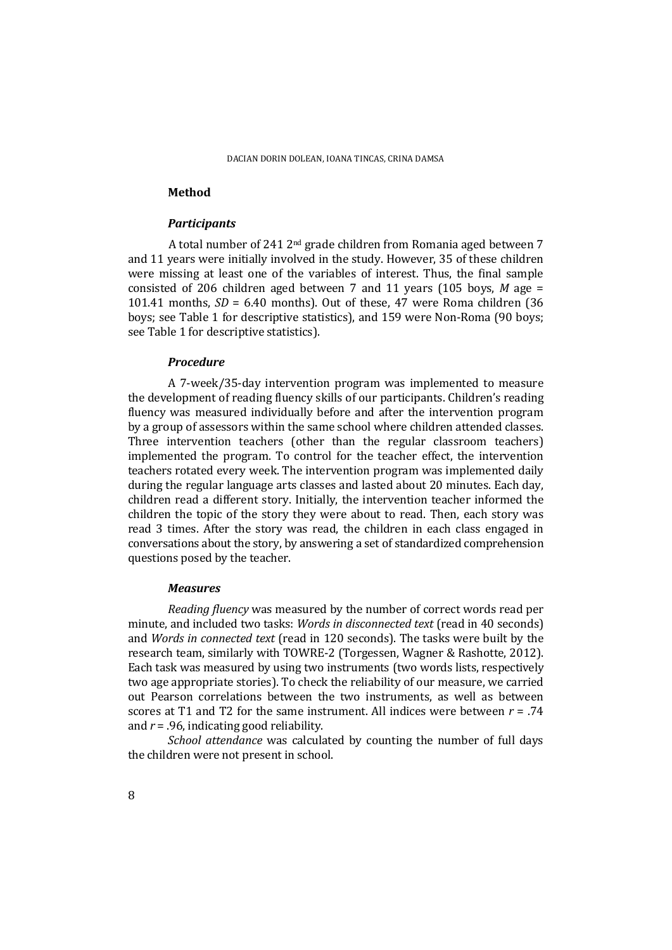## **Method**

#### *Participants*

A total number of 241  $2<sup>nd</sup>$  grade children from Romania aged between 7 and 11 years were initially involved in the study. However, 35 of these children were missing at least one of the variables of interest. Thus, the final sample consisted of 206 children aged between 7 and 11 years  $(105 \text{ boys}, M \text{ age} =$ 101.41 months,  $SD = 6.40$  months). Out of these, 47 were Roma children (36) boys; see Table 1 for descriptive statistics), and 159 were Non-Roma (90 boys; see Table 1 for descriptive statistics).

#### *Procedure*

A 7-week/35-day intervention program was implemented to measure the development of reading fluency skills of our participants. Children's reading fluency was measured individually before and after the intervention program by a group of assessors within the same school where children attended classes. Three intervention teachers (other than the regular classroom teachers) implemented the program. To control for the teacher effect, the intervention teachers rotated every week. The intervention program was implemented daily during the regular language arts classes and lasted about 20 minutes. Each day, children read a different story. Initially, the intervention teacher informed the children the topic of the story they were about to read. Then, each story was read 3 times. After the story was read, the children in each class engaged in conversations about the story, by answering a set of standardized comprehension questions posed by the teacher.

#### *Measures*

*Reading fluency* was measured by the number of correct words read per minute, and included two tasks: *Words* in *disconnected text* (read in 40 seconds) and *Words* in *connected text* (read in 120 seconds). The tasks were built by the research team, similarly with TOWRE-2 (Torgessen, Wagner & Rashotte, 2012). Each task was measured by using two instruments (two words lists, respectively two age appropriate stories). To check the reliability of our measure, we carried out Pearson correlations between the two instruments, as well as between scores at T1 and T2 for the same instrument. All indices were between  $r = .74$ and  $r = .96$ , indicating good reliability.

*School attendance* was calculated by counting the number of full days the children were not present in school.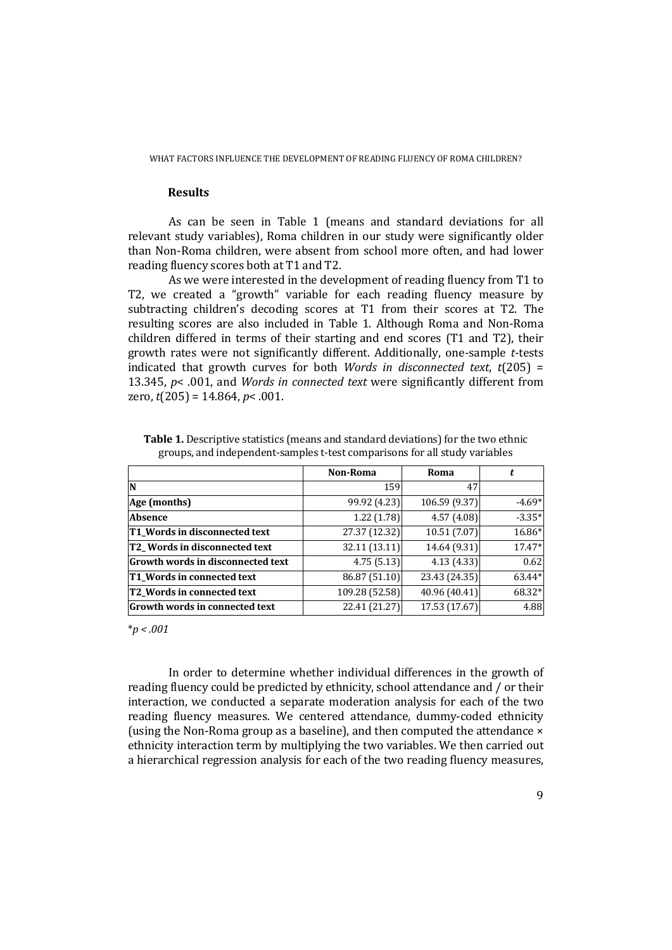## **Results**

As can be seen in Table 1 (means and standard deviations for all relevant study variables), Roma children in our study were significantly older than Non-Roma children, were absent from school more often, and had lower reading fluency scores both at T1 and T2.

As we were interested in the development of reading fluency from T1 to T2, we created a "growth" variable for each reading fluency measure by subtracting children's decoding scores at T1 from their scores at T2. The resulting scores are also included in Table 1. Although Roma and Non-Roma children differed in terms of their starting and end scores  $(T1$  and  $T2)$ , their growth rates were not significantly different. Additionally, one-sample *t*-tests indicated that growth curves for both *Words* in *disconnected text*,  $t(205) =$ 13.345,  $p$ < .001, and *Words* in *connected text* were significantly different from zero,  $t(205) = 14.864$ ,  $p < .001$ .

|                                      | Non-Roma       | Roma          |          |
|--------------------------------------|----------------|---------------|----------|
| <b>N</b>                             | 159            | 47            |          |
| Age (months)                         | 99.92 (4.23)   | 106.59 (9.37) | $-4.69*$ |
| <b>Absence</b>                       | 1.22(1.78)     | 4.57(4.08)    | $-3.35*$ |
| <b>T1 Words in disconnected text</b> | 27.37 (12.32)  | 10.51 (7.07)  | 16.86*   |
| <b>T2</b> Words in disconnected text | 32.11 (13.11)  | 14.64 (9.31)  | 17.47*   |
| Growth words in disconnected text    | 4.75(5.13)     | 4.13(4.33)    | 0.62     |
| <b>T1 Words in connected text</b>    | 86.87 (51.10)  | 23.43 (24.35) | 63.44*   |
| <b>T2 Words in connected text</b>    | 109.28 (52.58) | 40.96 (40.41) | 68.32*   |
| Growth words in connected text       | 22.41 (21.27)  | 17.53 (17.67) | 4.88     |

**Table 1.** Descriptive statistics (means and standard deviations) for the two ethnic groups, and independent-samples t-test comparisons for all study variables

\**p < .001*

In order to determine whether individual differences in the growth of reading fluency could be predicted by ethnicity, school attendance and / or their interaction, we conducted a separate moderation analysis for each of the two reading fluency measures. We centered attendance, dummy-coded ethnicity (using the Non-Roma group as a baseline), and then computed the attendance  $\times$ ethnicity interaction term by multiplying the two variables. We then carried out a hierarchical regression analysis for each of the two reading fluency measures,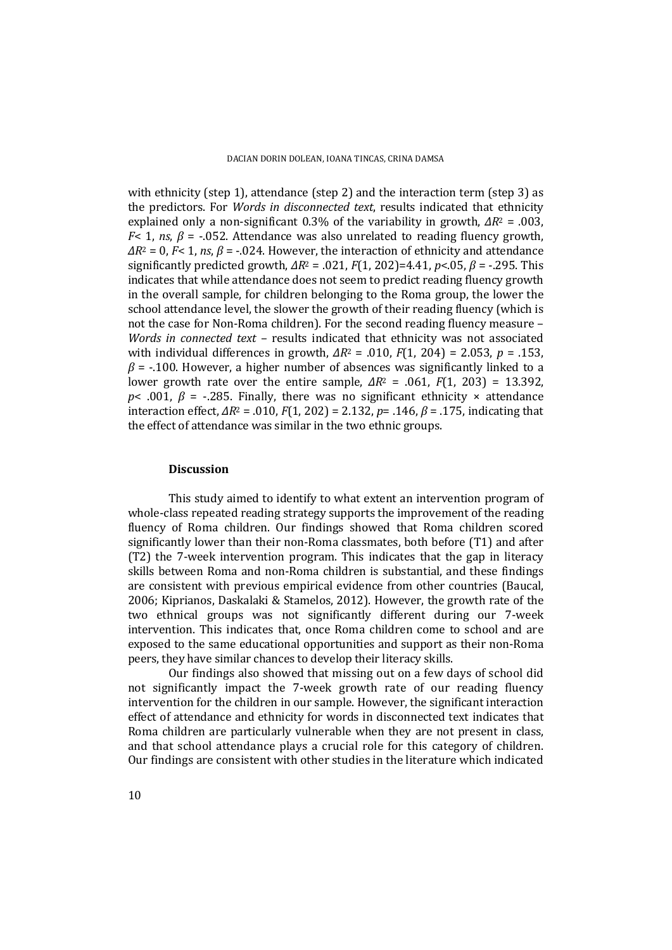with ethnicity (step 1), attendance (step 2) and the interaction term (step 3) as the predictors. For *Words* in *disconnected text*, results indicated that ethnicity explained only a non-significant  $0.3\%$  of the variability in growth,  $\Delta R^2 = .003$ , *F*< 1, *ns*,  $\beta$  = -.052. Attendance was also unrelated to reading fluency growth,  $\Delta R^2 = 0$ , *F*< 1, *ns*,  $\beta = -0.024$ . However, the interaction of ethnicity and attendance significantly predicted growth,  $\Delta R^2 = .021$ ,  $F(1, 202) = 4.41$ ,  $p < .05$ ,  $\beta = -.295$ . This indicates that while attendance does not seem to predict reading fluency growth in the overall sample, for children belonging to the Roma group, the lower the school attendance level, the slower the growth of their reading fluency (which is not the case for Non-Roma children). For the second reading fluency measure  $-$ *Words in connected text* – results indicated that ethnicity was not associated with individual differences in growth,  $\Delta R^2 = .010$ ,  $F(1, 204) = 2.053$ ,  $p = .153$ ,  $\beta$  = -.100. However, a higher number of absences was significantly linked to a lower growth rate over the entire sample,  $\Delta R^2$  = .061,  $F(1, 203) = 13.392$ , *p*< .001,  $\beta$  = -.285. Finally, there was no significant ethnicity  $\times$  attendance interaction effect,  $\Delta R^2$  = .010, *F*(1, 202) = 2.132, *p*= .146, *β* = .175, indicating that the effect of attendance was similar in the two ethnic groups.

#### **Discussion**

This study aimed to identify to what extent an intervention program of whole-class repeated reading strategy supports the improvement of the reading fluency of Roma children. Our findings showed that Roma children scored significantly lower than their non-Roma classmates, both before (T1) and after  $(T2)$  the 7-week intervention program. This indicates that the gap in literacy skills between Roma and non-Roma children is substantial, and these findings are consistent with previous empirical evidence from other countries (Baucal, 2006; Kiprianos, Daskalaki & Stamelos, 2012). However, the growth rate of the two ethnical groups was not significantly different during our 7-week intervention. This indicates that, once Roma children come to school and are exposed to the same educational opportunities and support as their non-Roma peers, they have similar chances to develop their literacy skills.

Our findings also showed that missing out on a few days of school did not significantly impact the 7-week growth rate of our reading fluency intervention for the children in our sample. However, the significant interaction effect of attendance and ethnicity for words in disconnected text indicates that Roma children are particularly vulnerable when they are not present in class, and that school attendance plays a crucial role for this category of children. Our findings are consistent with other studies in the literature which indicated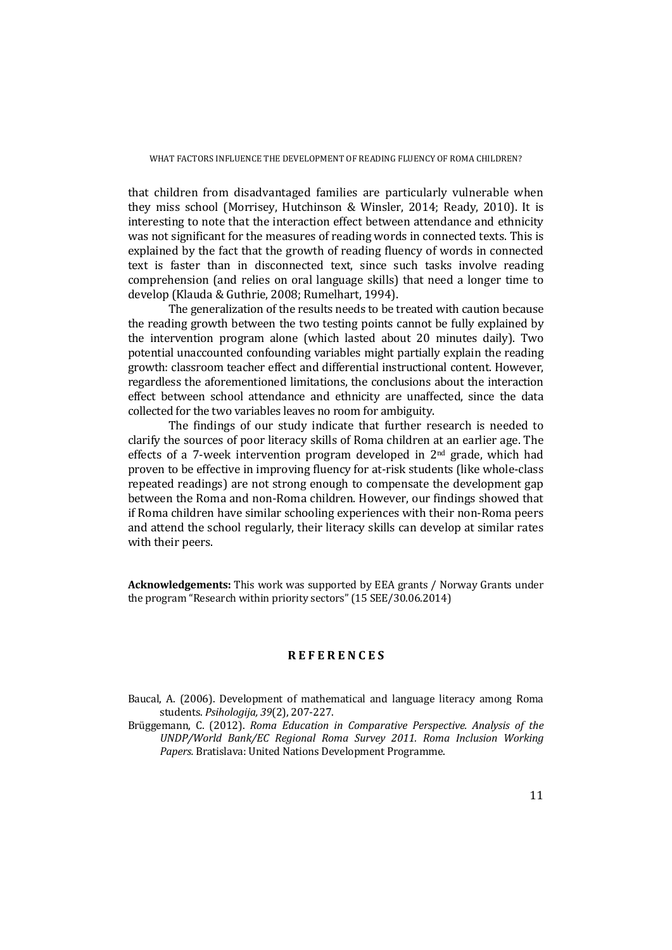that children from disadvantaged families are particularly vulnerable when they miss school (Morrisey, Hutchinson & Winsler, 2014; Ready, 2010). It is interesting to note that the interaction effect between attendance and ethnicity was not significant for the measures of reading words in connected texts. This is explained by the fact that the growth of reading fluency of words in connected text is faster than in disconnected text, since such tasks involve reading comprehension (and relies on oral language skills) that need a longer time to develop (Klauda & Guthrie, 2008; Rumelhart, 1994).

The generalization of the results needs to be treated with caution because the reading growth between the two testing points cannot be fully explained by the intervention program alone (which lasted about 20 minutes daily). Two potential unaccounted confounding variables might partially explain the reading growth: classroom teacher effect and differential instructional content. However, regardless the aforementioned limitations, the conclusions about the interaction effect between school attendance and ethnicity are unaffected, since the data collected for the two variables leaves no room for ambiguity.

The findings of our study indicate that further research is needed to clarify the sources of poor literacy skills of Roma children at an earlier age. The effects of a 7-week intervention program developed in  $2<sup>nd</sup>$  grade, which had proven to be effective in improving fluency for at-risk students (like whole-class repeated readings) are not strong enough to compensate the development gap between the Roma and non-Roma children. However, our findings showed that if Roma children have similar schooling experiences with their non-Roma peers and attend the school regularly, their literacy skills can develop at similar rates with their peers.

**Acknowledgements:** This work was supported by EEA grants / Norway Grants under the program "Research within priority sectors"  $(15 \text{ SEE}/30.06.2014)$ 

## **R E F E R E N C E S**

- Baucal, A. (2006). Development of mathematical and language literacy among Roma students. *Psihologija, 39*(2), 207‐227.
- Brüggemann, C. (2012). *Roma Education in Comparative Perspective. Analysis of the UNDP/World Bank/EC Regional Roma Survey 2011. Roma Inclusion Working* Papers. Bratislava: United Nations Development Programme.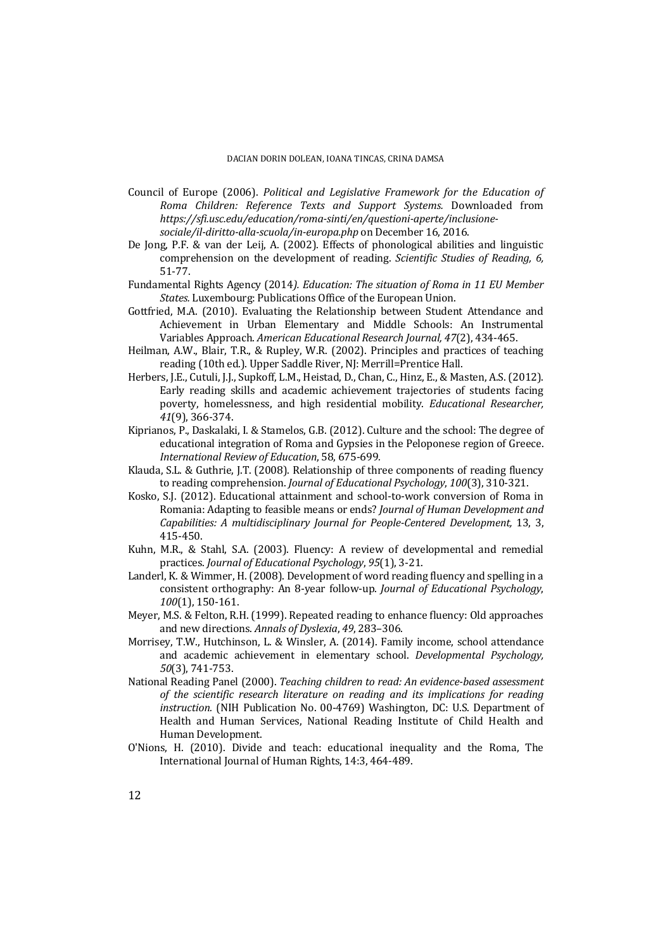- Council of Europe (2006). *Political and Legislative Framework for the Education of Roma Children: Reference Texts and Support Systems.* Downloaded from *https://sfi.usc.edu/education/roma‐sinti/en/questioni‐aperte/inclusione‐ sociale/il‐diritto‐alla‐scuola/in‐europa.php* on December 16, 2016.
- De Jong, P.F. & van der Leij, A. (2002). Effects of phonological abilities and linguistic comprehension on the development of reading. *Scientific Studies of Reading, 6,* 51‐77.
- Fundamental Rights Agency (2014*). Education: The situation of Roma in 11 EU Member States.* Luxembourg: Publications Office of the European Union.
- Gottfried, M.A. (2010). Evaluating the Relationship between Student Attendance and Achievement in Urban Elementary and Middle Schools: An Instrumental Variables Approach. *American Educational Research Journal, 47*(2), 434‐465.
- Heilman, A.W., Blair, T.R., & Rupley, W.R. (2002). Principles and practices of teaching reading (10th ed.). Upper Saddle River, NJ: Merrill=Prentice Hall.
- Herbers, J.E., Cutuli, J.J., Supkoff, L.M., Heistad, D., Chan, C., Hinz, E., & Masten, A.S. (2012). Early reading skills and academic achievement trajectories of students facing poverty, homelessness, and high residential mobility. *Educational Researcher, 41*(9), 366‐374.
- Kiprianos, P., Daskalaki, I. & Stamelos, G.B. (2012). Culture and the school: The degree of educational integration of Roma and Gypsies in the Peloponese region of Greece. *International Review of Education*, 58, 675‐699*.*
- Klauda, S.L. & Guthrie, J.T. (2008). Relationship of three components of reading fluency to reading comprehension. *Journal of Educational Psychology*, 100(3), 310-321.
- Kosko, S.J. (2012). Educational attainment and school-to-work conversion of Roma in Romania: Adapting to feasible means or ends? *Journal of Human Development and Capabilities: A multidisciplinary Journal for People‐Centered Development,* 13, 3, 415‐450.
- Kuhn, M.R., & Stahl, S.A. (2003). Fluency: A review of developmental and remedial practices. *Journal of Educational Psychology*, *95*(1), 3‐21.
- Landerl, K. & Wimmer, H. (2008). Development of word reading fluency and spelling in a consistent orthography: An 8‐year follow‐up. *Journal of Educational Psychology*, *100*(1), 150‐161.
- Meyer, M.S. & Felton, R.H. (1999). Repeated reading to enhance fluency: Old approaches and new directions. *Annals of Dyslexia*, *49*, 283–306.
- Morrisey, T.W., Hutchinson, L. & Winsler, A. (2014). Family income, school attendance and academic achievement in elementary school. *Developmental Psychology*, *50*(3), 741‐753.
- National Reading Panel (2000). *Teaching children to read: An evidence‐based assessment of the scientific research literature on reading and its implications for reading instruction.* (NIH Publication No. 00-4769) Washington, DC: U.S. Department of Health and Human Services, National Reading Institute of Child Health and Human Development.
- O'Nions, H. (2010). Divide and teach: educational inequality and the Roma, The International Journal of Human Rights, 14:3, 464-489.